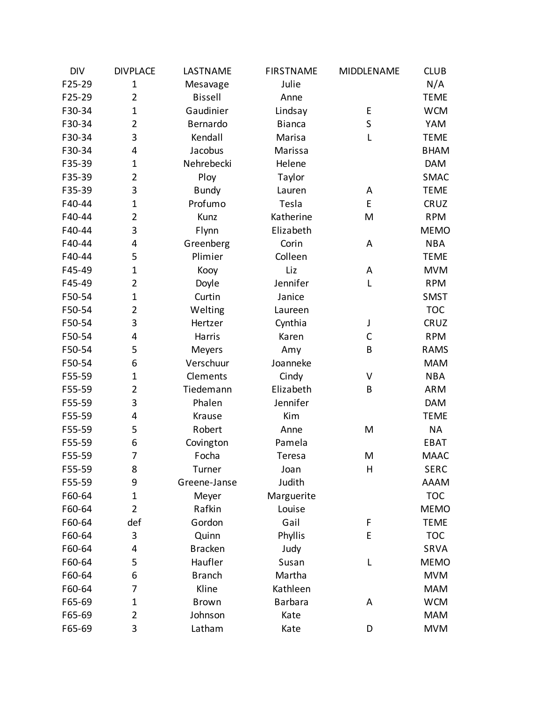| <b>DIV</b> | <b>DIVPLACE</b> | LASTNAME       | <b>FIRSTNAME</b> | MIDDLENAME  | <b>CLUB</b> |
|------------|-----------------|----------------|------------------|-------------|-------------|
| F25-29     | $\mathbf{1}$    | Mesavage       | Julie            |             | N/A         |
| F25-29     | $\overline{2}$  | <b>Bissell</b> | Anne             |             | <b>TEME</b> |
| F30-34     | $\mathbf{1}$    | Gaudinier      | Lindsay          | E           | <b>WCM</b>  |
| F30-34     | $\overline{2}$  | Bernardo       | <b>Bianca</b>    | $\mathsf S$ | YAM         |
| F30-34     | 3               | Kendall        | Marisa           | L           | <b>TEME</b> |
| F30-34     | 4               | Jacobus        | Marissa          |             | <b>BHAM</b> |
| F35-39     | $\mathbf 1$     | Nehrebecki     | Helene           |             | <b>DAM</b>  |
| F35-39     | $\overline{2}$  | Ploy           | Taylor           |             | SMAC        |
| F35-39     | 3               | <b>Bundy</b>   | Lauren           | A           | <b>TEME</b> |
| F40-44     | $\mathbf{1}$    | Profumo        | Tesla            | E           | CRUZ        |
| F40-44     | $\overline{2}$  | Kunz           | Katherine        | M           | <b>RPM</b>  |
| F40-44     | 3               | Flynn          | Elizabeth        |             | <b>MEMO</b> |
| F40-44     | 4               | Greenberg      | Corin            | A           | <b>NBA</b>  |
| F40-44     | 5               | Plimier        | Colleen          |             | <b>TEME</b> |
| F45-49     | $\mathbf{1}$    | Kooy           | Liz              | A           | <b>MVM</b>  |
| F45-49     | $\overline{2}$  | Doyle          | Jennifer         | L           | <b>RPM</b>  |
| F50-54     | $\mathbf 1$     | Curtin         | Janice           |             | <b>SMST</b> |
| F50-54     | $\overline{2}$  | Welting        | Laureen          |             | <b>TOC</b>  |
| F50-54     | 3               | Hertzer        | Cynthia          | J           | CRUZ        |
| F50-54     | 4               | Harris         | Karen            | $\mathsf C$ | <b>RPM</b>  |
| F50-54     | 5               | Meyers         | Amy              | B           | <b>RAMS</b> |
| F50-54     | 6               | Verschuur      | Joanneke         |             | <b>MAM</b>  |
| F55-59     | $\mathbf{1}$    | Clements       | Cindy            | V           | <b>NBA</b>  |
| F55-59     | $\overline{2}$  | Tiedemann      | Elizabeth        | B           | <b>ARM</b>  |
| F55-59     | 3               | Phalen         | Jennifer         |             | <b>DAM</b>  |
| F55-59     | 4               | Krause         | Kim              |             | <b>TEME</b> |
| F55-59     | 5               | Robert         | Anne             | M           | <b>NA</b>   |
| F55-59     | 6               | Covington      | Pamela           |             | EBAT        |
| F55-59     | 7               | Focha          | Teresa           | M           | <b>MAAC</b> |
| F55-59     | 8               | Turner         | Joan             | H           | <b>SERC</b> |
| F55-59     | 9               | Greene-Janse   | Judith           |             | <b>AAAM</b> |
| F60-64     | $\mathbf{1}$    | Meyer          | Marguerite       |             | <b>TOC</b>  |
| F60-64     | $\overline{2}$  | Rafkin         | Louise           |             | <b>MEMO</b> |
| F60-64     | def             | Gordon         | Gail             | F           | <b>TEME</b> |
| F60-64     | 3               | Quinn          | Phyllis          | E           | <b>TOC</b>  |
| F60-64     | 4               | <b>Bracken</b> | Judy             |             | SRVA        |
| F60-64     | 5               | Haufler        | Susan            | L           | <b>MEMO</b> |
| F60-64     | 6               | <b>Branch</b>  | Martha           |             | <b>MVM</b>  |
| F60-64     | 7               | Kline          | Kathleen         |             | <b>MAM</b>  |
| F65-69     | $\mathbf 1$     | <b>Brown</b>   | <b>Barbara</b>   | A           | <b>WCM</b>  |
| F65-69     | $\overline{2}$  | Johnson        | Kate             |             | <b>MAM</b>  |
| F65-69     | 3               | Latham         | Kate             | D           | <b>MVM</b>  |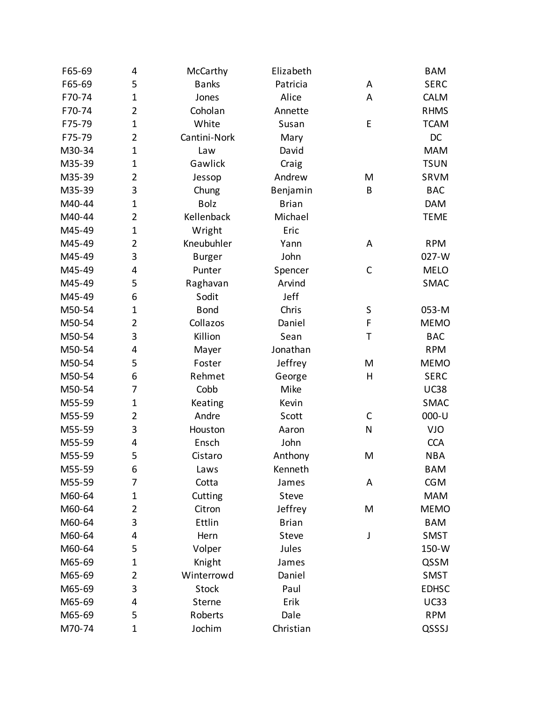| F65-69 | 4              | McCarthy      | Elizabeth    |             | <b>BAM</b>   |
|--------|----------------|---------------|--------------|-------------|--------------|
| F65-69 | 5              | <b>Banks</b>  | Patricia     | A           | <b>SERC</b>  |
| F70-74 | $\mathbf 1$    | Jones         | Alice        | A           | CALM         |
| F70-74 | 2              | Coholan       | Annette      |             | <b>RHMS</b>  |
| F75-79 | $\mathbf 1$    | White         | Susan        | E           | <b>TCAM</b>  |
| F75-79 | $\overline{2}$ | Cantini-Nork  | Mary         |             | DC           |
| M30-34 | $\mathbf 1$    | Law           | David        |             | <b>MAM</b>   |
| M35-39 | $\mathbf 1$    | Gawlick       | Craig        |             | <b>TSUN</b>  |
| M35-39 | 2              | Jessop        | Andrew       | M           | SRVM         |
| M35-39 | 3              | Chung         | Benjamin     | B           | <b>BAC</b>   |
| M40-44 | $\mathbf 1$    | <b>Bolz</b>   | <b>Brian</b> |             | <b>DAM</b>   |
| M40-44 | $\overline{2}$ | Kellenback    | Michael      |             | <b>TEME</b>  |
| M45-49 | $\mathbf{1}$   | Wright        | Eric         |             |              |
| M45-49 | 2              | Kneubuhler    | Yann         | A           | <b>RPM</b>   |
| M45-49 | 3              | <b>Burger</b> | John         |             | 027-W        |
| M45-49 | 4              | Punter        | Spencer      | $\mathsf C$ | <b>MELO</b>  |
| M45-49 | 5              | Raghavan      | Arvind       |             | SMAC         |
| M45-49 | 6              | Sodit         | Jeff         |             |              |
| M50-54 | $\mathbf 1$    | <b>Bond</b>   | Chris        | $\sf S$     | 053-M        |
| M50-54 | 2              | Collazos      | Daniel       | F           | <b>MEMO</b>  |
| M50-54 | 3              | Killion       | Sean         | Τ           | <b>BAC</b>   |
| M50-54 | 4              | Mayer         | Jonathan     |             | <b>RPM</b>   |
| M50-54 | 5              | Foster        | Jeffrey      | M           | <b>MEMO</b>  |
| M50-54 | 6              | Rehmet        | George       | Η           | <b>SERC</b>  |
| M50-54 | 7              | Cobb          | Mike         |             | <b>UC38</b>  |
| M55-59 | 1              | Keating       | Kevin        |             | <b>SMAC</b>  |
| M55-59 | 2              | Andre         | Scott        | C           | 000-U        |
| M55-59 | 3              | Houston       | Aaron        | N           | VJO          |
| M55-59 | 4              | Ensch         | John         |             | <b>CCA</b>   |
| M55-59 | 5              | Cistaro       | Anthony      | M           | <b>NBA</b>   |
| M55-59 | 6              | Laws          | Kenneth      |             | <b>BAM</b>   |
| M55-59 | 7              | Cotta         | James        | Α           | <b>CGM</b>   |
| M60-64 | 1              | Cutting       | <b>Steve</b> |             | <b>MAM</b>   |
| M60-64 | 2              | Citron        | Jeffrey      | M           | <b>MEMO</b>  |
| M60-64 | 3              | Ettlin        | <b>Brian</b> |             | <b>BAM</b>   |
| M60-64 | 4              | Hern          | Steve        | J           | SMST         |
| M60-64 | 5              | Volper        | Jules        |             | 150-W        |
| M65-69 | $\mathbf 1$    | Knight        | James        |             | QSSM         |
| M65-69 | 2              | Winterrowd    | Daniel       |             | <b>SMST</b>  |
| M65-69 | 3              | <b>Stock</b>  | Paul         |             | <b>EDHSC</b> |
| M65-69 | 4              | Sterne        | Erik         |             | <b>UC33</b>  |
| M65-69 | 5              | Roberts       | Dale         |             | <b>RPM</b>   |
| M70-74 | $\mathbf 1$    | Jochim        | Christian    |             | QSSSJ        |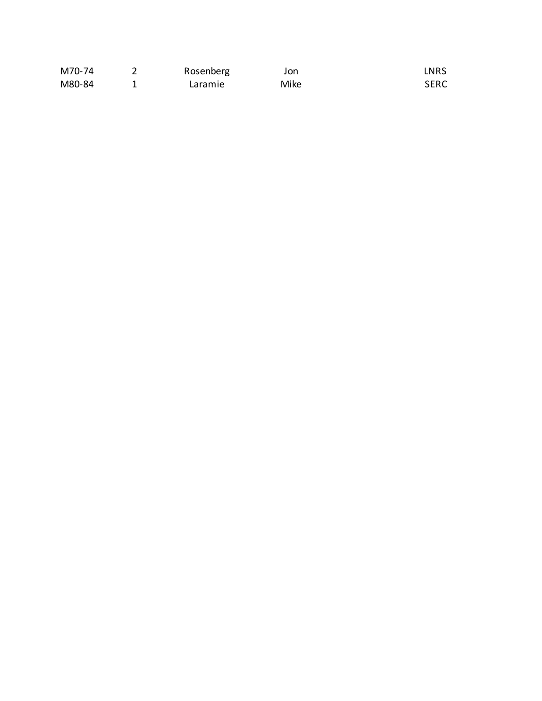| M70-74 | Rosenberg | Jon  | LNRS        |
|--------|-----------|------|-------------|
| M80-84 | Laramie   | Mike | <b>SERC</b> |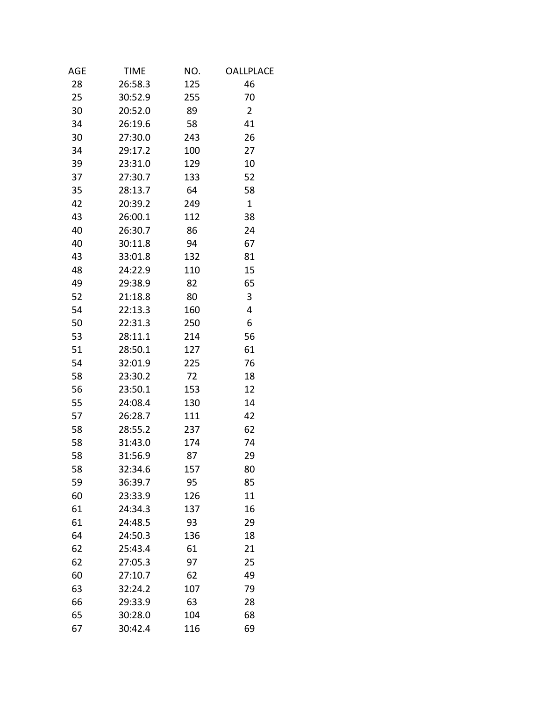| AGE | <b>TIME</b> | NO. | <b>OALLPLACE</b> |  |
|-----|-------------|-----|------------------|--|
| 28  | 26:58.3     | 125 | 46               |  |
| 25  | 30:52.9     | 255 | 70               |  |
| 30  | 20:52.0     | 89  | $\overline{2}$   |  |
| 34  | 26:19.6     | 58  | 41               |  |
| 30  | 27:30.0     | 243 | 26               |  |
| 34  | 29:17.2     | 100 | 27               |  |
| 39  | 23:31.0     | 129 | 10               |  |
| 37  | 27:30.7     | 133 | 52               |  |
| 35  | 28:13.7     | 64  | 58               |  |
| 42  | 20:39.2     | 249 | $\mathbf{1}$     |  |
| 43  | 26:00.1     | 112 | 38               |  |
| 40  | 26:30.7     | 86  | 24               |  |
| 40  | 30:11.8     | 94  | 67               |  |
| 43  | 33:01.8     | 132 | 81               |  |
| 48  | 24:22.9     | 110 | 15               |  |
| 49  | 29:38.9     | 82  | 65               |  |
| 52  | 21:18.8     | 80  | 3                |  |
| 54  | 22:13.3     | 160 | 4                |  |
| 50  | 22:31.3     | 250 | 6                |  |
| 53  | 28:11.1     | 214 | 56               |  |
| 51  | 28:50.1     | 127 | 61               |  |
| 54  | 32:01.9     | 225 | 76               |  |
| 58  | 23:30.2     | 72  | 18               |  |
| 56  | 23:50.1     | 153 | 12               |  |
| 55  | 24:08.4     | 130 | 14               |  |
| 57  | 26:28.7     | 111 | 42               |  |
| 58  | 28:55.2     | 237 | 62               |  |
| 58  | 31:43.0     | 174 | 74               |  |
| 58  | 31:56.9     | 87  | 29               |  |
| 58  | 32:34.6     | 157 | 80               |  |
| 59  | 36:39.7     | 95  | 85               |  |
| 60  | 23:33.9     | 126 | 11               |  |
| 61  | 24:34.3     | 137 | 16               |  |
| 61  | 24:48.5     | 93  | 29               |  |
| 64  | 24:50.3     | 136 | 18               |  |
| 62  | 25:43.4     | 61  | 21               |  |
| 62  | 27:05.3     | 97  | 25               |  |
| 60  | 27:10.7     | 62  | 49               |  |
| 63  | 32:24.2     | 107 | 79               |  |
| 66  | 29:33.9     | 63  | 28               |  |
| 65  | 30:28.0     | 104 | 68               |  |
| 67  | 30:42.4     | 116 | 69               |  |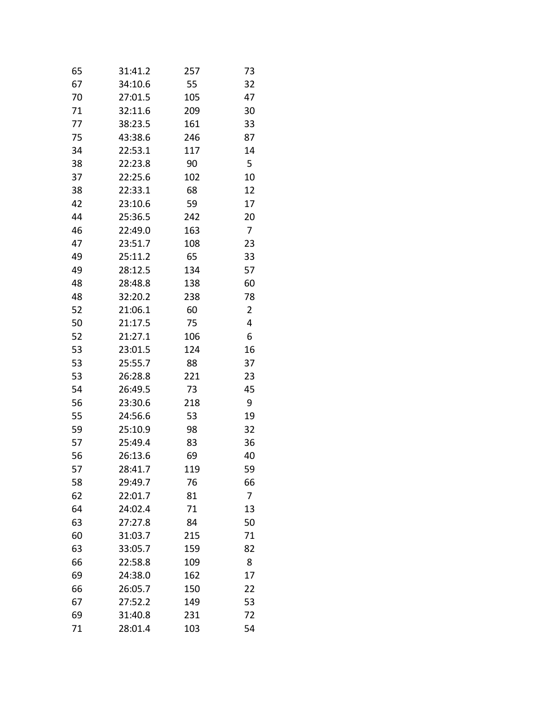| 65 | 31:41.2 | 257 | 73 |
|----|---------|-----|----|
| 67 | 34:10.6 | 55  | 32 |
| 70 | 27:01.5 | 105 | 47 |
| 71 | 32:11.6 | 209 | 30 |
| 77 | 38:23.5 | 161 | 33 |
| 75 | 43:38.6 | 246 | 87 |
| 34 | 22:53.1 | 117 | 14 |
| 38 | 22:23.8 | 90  | 5  |
| 37 | 22:25.6 | 102 | 10 |
| 38 | 22:33.1 | 68  | 12 |
| 42 | 23:10.6 | 59  | 17 |
| 44 | 25:36.5 | 242 | 20 |
| 46 | 22:49.0 | 163 | 7  |
| 47 | 23:51.7 | 108 | 23 |
| 49 | 25:11.2 | 65  | 33 |
| 49 | 28:12.5 | 134 | 57 |
| 48 | 28:48.8 | 138 | 60 |
| 48 | 32:20.2 | 238 | 78 |
| 52 | 21:06.1 | 60  | 2  |
| 50 | 21:17.5 | 75  | 4  |
| 52 | 21:27.1 | 106 | 6  |
| 53 | 23:01.5 | 124 | 16 |
| 53 | 25:55.7 | 88  | 37 |
| 53 | 26:28.8 | 221 | 23 |
| 54 | 26:49.5 | 73  | 45 |
| 56 | 23:30.6 | 218 | 9  |
| 55 | 24:56.6 | 53  | 19 |
| 59 | 25:10.9 | 98  | 32 |
| 57 | 25:49.4 | 83  | 36 |
| 56 | 26:13.6 | 69  | 40 |
| 57 | 28:41.7 | 119 | 59 |
| 58 | 29:49.7 | 76  | 66 |
| 62 | 22:01.7 | 81  | 7  |
| 64 | 24:02.4 | 71  | 13 |
| 63 | 27:27.8 | 84  | 50 |
| 60 | 31:03.7 | 215 | 71 |
| 63 | 33:05.7 | 159 | 82 |
| 66 | 22:58.8 | 109 | 8  |
| 69 | 24:38.0 | 162 | 17 |
| 66 | 26:05.7 | 150 | 22 |
| 67 | 27:52.2 | 149 | 53 |
| 69 | 31:40.8 | 231 | 72 |
| 71 | 28:01.4 | 103 | 54 |